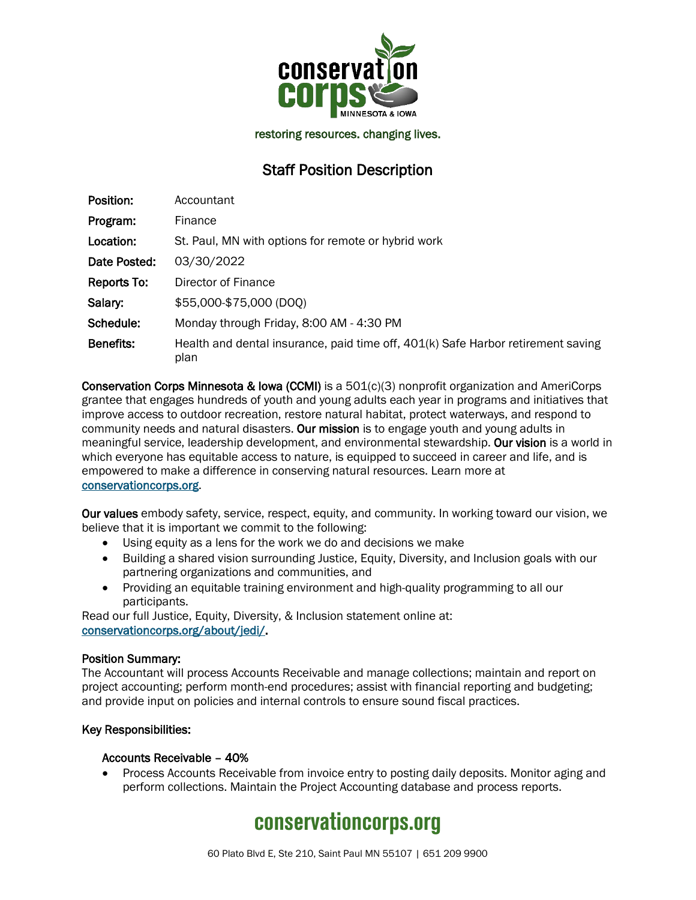

restoring resources. changing lives.

### Staff Position Description

| Position:    | Accountant                                                                               |
|--------------|------------------------------------------------------------------------------------------|
| Program:     | Finance                                                                                  |
| Location:    | St. Paul, MN with options for remote or hybrid work                                      |
| Date Posted: | 03/30/2022                                                                               |
| Reports To:  | Director of Finance                                                                      |
| Salary:      | \$55,000-\$75,000 (DOO)                                                                  |
| Schedule:    | Monday through Friday, 8:00 AM - 4:30 PM                                                 |
| Benefits:    | Health and dental insurance, paid time off, 401(k) Safe Harbor retirement saving<br>plan |

Conservation Corps Minnesota & Iowa (CCMI) is a 501(c)(3) nonprofit organization and AmeriCorps grantee that engages hundreds of youth and young adults each year in programs and initiatives that improve access to outdoor recreation, restore natural habitat, protect waterways, and respond to community needs and natural disasters. Our mission is to engage youth and young adults in meaningful service, leadership development, and environmental stewardship. Our vision is a world in which everyone has equitable access to nature, is equipped to succeed in career and life, and is empowered to make a difference in conserving natural resources. Learn more at [conservationcorps.org.](mailto:https://conservationcorps.org/)

Our values embody safety, service, respect, equity, and community. In working toward our vision, we believe that it is important we commit to the following:

- Using equity as a lens for the work we do and decisions we make
- Building a shared vision surrounding Justice, Equity, Diversity, and Inclusion goals with our partnering organizations and communities, and
- Providing an equitable training environment and high-quality programming to all our participants.

Read our full Justice, Equity, Diversity, & Inclusion statement online at: [conservationcorps.org/about/jedi/.](https://conservationcorps.org/about/jedi/)

#### Position Summary:

The Accountant will process Accounts Receivable and manage collections; maintain and report on project accounting; perform month-end procedures; assist with financial reporting and budgeting; and provide input on policies and internal controls to ensure sound fiscal practices.

#### Key Responsibilities:

#### Accounts Receivable – 40%

• Process Accounts Receivable from invoice entry to posting daily deposits. Monitor aging and perform collections. Maintain the Project Accounting database and process reports.

# **conservationcorps.org**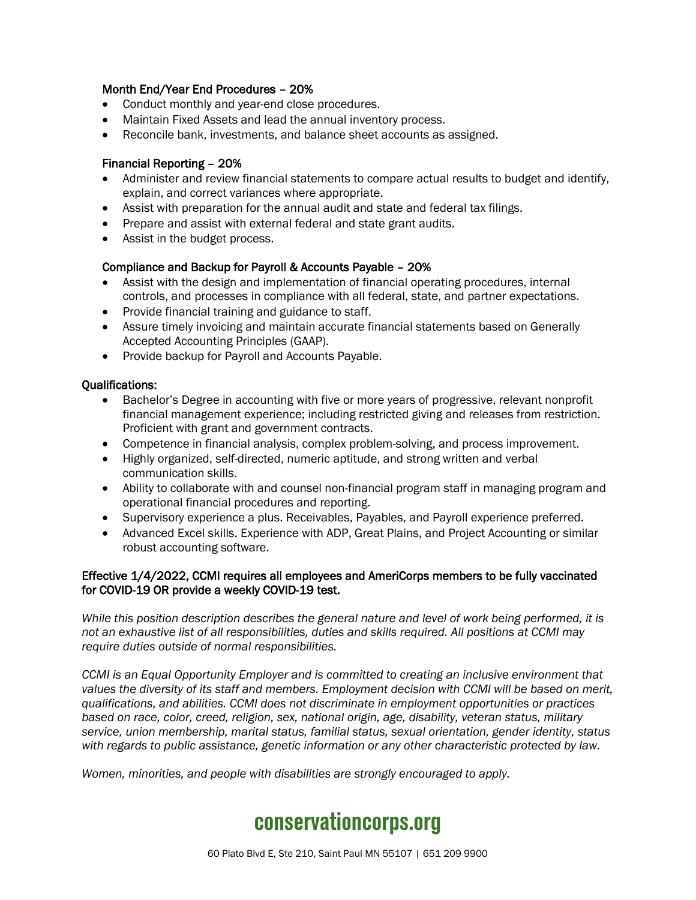#### Month End/Year End Procedures – 20%

- Conduct monthly and year-end close procedures.
- Maintain Fixed Assets and lead the annual inventory process.
- Reconcile bank, investments, and balance sheet accounts as assigned.

#### Financial Reporting – 20%

- Administer and review financial statements to compare actual results to budget and identify, explain, and correct variances where appropriate.
- Assist with preparation for the annual audit and state and federal tax filings.
- Prepare and assist with external federal and state grant audits.
- Assist in the budget process.

#### Compliance and Backup for Payroll & Accounts Payable – 20%

- Assist with the design and implementation of financial operating procedures, internal controls, and processes in compliance with all federal, state, and partner expectations.
- Provide financial training and guidance to staff.
- Assure timely invoicing and maintain accurate financial statements based on Generally Accepted Accounting Principles (GAAP).
- Provide backup for Payroll and Accounts Payable.

#### Qualifications:

- Bachelor's Degree in accounting with five or more years of progressive, relevant nonprofit financial management experience; including restricted giving and releases from restriction. Proficient with grant and government contracts.
- Competence in financial analysis, complex problem-solving, and process improvement.
- Highly organized, self-directed, numeric aptitude, and strong written and verbal communication skills.
- Ability to collaborate with and counsel non-financial program staff in managing program and operational financial procedures and reporting.
- Supervisory experience a plus. Receivables, Payables, and Payroll experience preferred.
- Advanced Excel skills. Experience with ADP, Great Plains, and Project Accounting or similar robust accounting software.

#### Effective 1/4/2022, CCMI requires all employees and AmeriCorps members to be fully vaccinated for COVID-19 OR provide a weekly COVID-19 test.

*While this position description describes the general nature and level of work being performed, it is not an exhaustive list of all responsibilities, duties and skills required. All positions at CCMI may require duties outside of normal responsibilities.*

*CCMI is an Equal Opportunity Employer and is committed to creating an inclusive environment that values the diversity of its staff and members. Employment decision with CCMI will be based on merit, qualifications, and abilities. CCMI does not discriminate in employment opportunities or practices based on race, color, creed, religion, sex, national origin, age, disability, veteran status, military service, union membership, marital status, familial status, sexual orientation, gender identity, status with regards to public assistance, genetic information or any other characteristic protected by law.*

*Women, minorities, and people with disabilities are strongly encouraged to apply.*

## **conservationcorps.org**